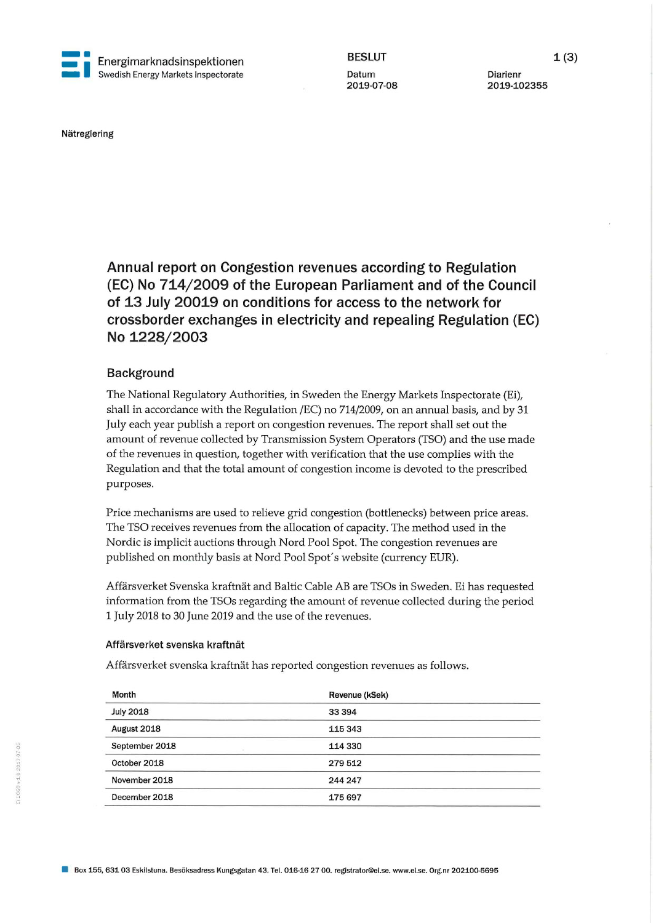

2019-102355

Nätreglering

Annual report on Congestion revenues according to Regulation (EC) No 714/2009 of the European Parliament and of the Council of 13 July 20019 on conditions for access to the network for crossborder exchanges in electricity and repealing Regulation (EC) No 1228/2003

## Background

The National Regulatory Authorities, in Sweden the Energy Markets Inspectorate (Ei), shall in accordance with the Regulation /EC) no 714/2009, on an annual basis, and by 31 July each year publish a report on congestion revenues. The report shall set out the amount of revenue collected by Transmission System Operators (TSO) and the use made of the revenues in question, together with verification that the use complies with the Regulation and that the total amount of congestion income is devoted to the prescribed purposes.

Price mechanisms are used to relieve grid congestion (bottlenecks) between price areas. The TSO receives revenues from the allocation of capacity. The method used in the Nordic is implicit auctions through Nord Pool Spot. The congestion revenues are published on monthly basis at Nord Pool Spot's website (currency EUR).

Affärsverket Svenska kraftnät and Baltic Cable AB are TSOs in Sweden. Ei has requested information from the TSOs regarding the amount of revenue collected during the period 1 July 2018 to 30 June 2019 and the use of the revenues.

### Affärsverket svenska kraftnät

Affärsverket svenska kraftnät has reported congestion revenues as follows.

| Month            | Revenue (kSek) |  |
|------------------|----------------|--|
| <b>July 2018</b> | 33 394         |  |
| August 2018      | 115 343        |  |
| September 2018   | 114 330        |  |
| October 2018     | 279 512        |  |
| November 2018    | 244 247        |  |
| December 2018    | 175 697        |  |
|                  |                |  |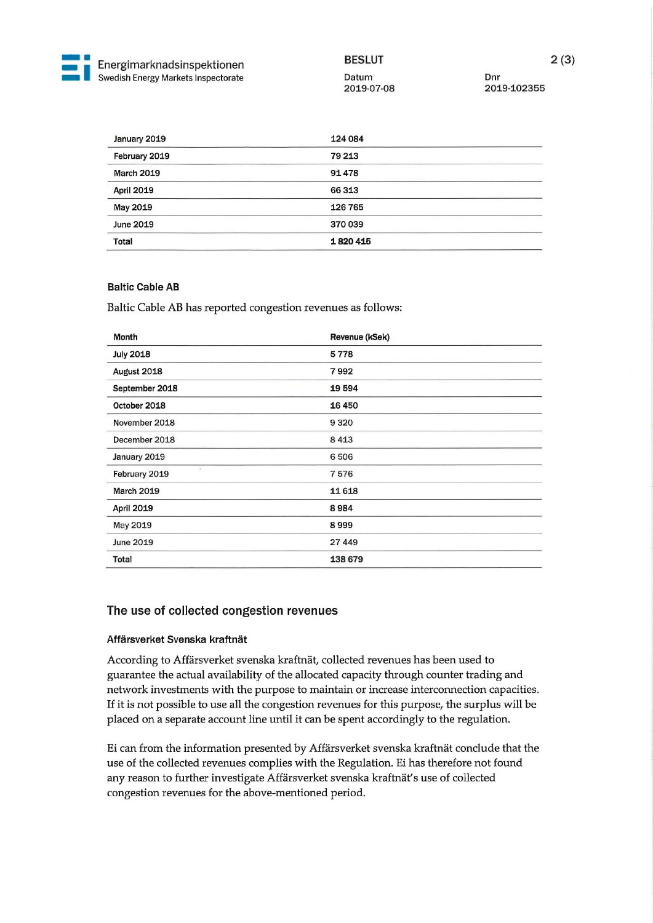

2019-102355

| January 2019      | 124 084 |  |
|-------------------|---------|--|
| February 2019     | 79 213  |  |
| <b>March 2019</b> | 91478   |  |
| April 2019        | 66313   |  |
| May 2019          | 126 765 |  |
| June 2019         | 370039  |  |
| <b>Total</b>      | 1820415 |  |

## Baltic Cable AB

Baltic Cable AB has reported congestion revenues as follows:

| Month             | Revenue (kSek) |  |
|-------------------|----------------|--|
| <b>July 2018</b>  | 5778           |  |
| August 2018       | 7992           |  |
| September 2018    | 19594          |  |
| October 2018      | 16450          |  |
| November 2018     | 9320           |  |
| December 2018     | 8413           |  |
| January 2019      | 6506           |  |
| February 2019     | 7576           |  |
| <b>March 2019</b> | 11618          |  |
| <b>April 2019</b> | 8984           |  |
| May 2019          | 8999           |  |
| June 2019         | 27 449         |  |
| Total             | 138 679        |  |

# The use of collected congestion revenues

#### Affärsverket Svenska kraftnät

According to Affärsverket svenska kraftnät, collected revenues has been used to guarantee the actual availability of the allocated capacity through counter trading and network investments with the purpose to maintain or increase interconnection capacities. If it is not possible to use all the congestion revenues for this purpose, the surplus will be placed on a separate account line until it can be spent accordingly to the regulation.

Ei can from the information presented by Affärsverket svenska kraftnät conclude that the use of the collected revenues complies with the Regulation. Ei has therefore not found any reason to further investigate Affärsverket svenska kraftnät's use of collected congestion revenues for the above-mentioned period.